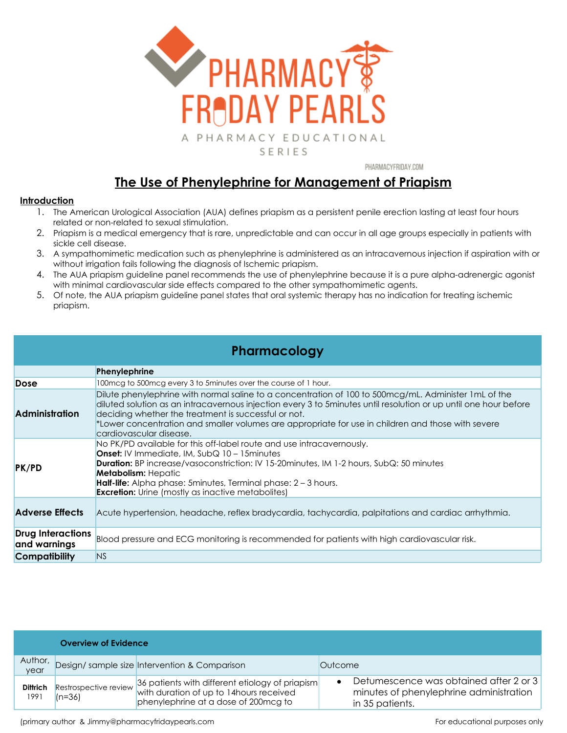

PHARMACYFRIDAY.COM

# **The Use of Phenylephrine for Management of Priapism**

### **Introduction**

- 1. The American Urological Association (AUA) defines priapism as a persistent penile erection lasting at least four hours related or non-related to sexual stimulation.
- 2. Priapism is a medical emergency that is rare, unpredictable and can occur in all age groups especially in patients with sickle cell disease.
- 3. A sympathomimetic medication such as phenylephrine is administered as an intracavernous injection if aspiration with or without irrigation fails following the diagnosis of Ischemic priapism.
- 4. The AUA priapism guideline panel recommends the use of phenylephrine because it is a pure alpha-adrenergic agonist with minimal cardiovascular side effects compared to the other sympathomimetic agents.
- 5. Of note, the AUA priapism guideline panel states that oral systemic therapy has no indication for treating ischemic priapism.

## **Pharmacology**

|                                          | Phenylephrine                                                                                                                                                                                                                                                                                                                                                                                                      |  |  |  |
|------------------------------------------|--------------------------------------------------------------------------------------------------------------------------------------------------------------------------------------------------------------------------------------------------------------------------------------------------------------------------------------------------------------------------------------------------------------------|--|--|--|
| Dose                                     | 100 mcg to 500 mcg every 3 to 5 minutes over the course of 1 hour.                                                                                                                                                                                                                                                                                                                                                 |  |  |  |
| <b>Administration</b>                    | Dilute phenylephrine with normal saline to a concentration of 100 to 500mcg/mL. Administer 1mL of the<br>diluted solution as an intracavernous injection every 3 to 5minutes until resolution or up until one hour before<br>deciding whether the treatment is successful or not.<br>*Lower concentration and smaller volumes are appropriate for use in children and those with severe<br>cardiovascular disease. |  |  |  |
| PK/PD                                    | No PK/PD available for this off-label route and use intracavernously.<br><b>Onset:</b> IV Immediate, IM, $SubQ$ 10 – 15 minutes<br><b>Duration:</b> BP increase/vasoconstriction: IV 15-20minutes, IM 1-2 hours, SubQ: 50 minutes<br><b>Metabolism:</b> Hepatic<br><b>Half-life:</b> Alpha phase: 5 minutes, Terminal phase: $2 - 3$ hours.<br><b>Excretion:</b> Urine (mostly as inactive metabolites)            |  |  |  |
| <b>Adverse Effects</b>                   | Acute hypertension, headache, reflex bradycardia, tachycardia, palpitations and cardiac arrhythmia.                                                                                                                                                                                                                                                                                                                |  |  |  |
| <b>Drug Interactions</b><br>and warnings | Blood pressure and ECG monitoring is recommended for patients with high cardiovascular risk.                                                                                                                                                                                                                                                                                                                       |  |  |  |
| <b>Compatibility</b>                     | N <sub>S</sub>                                                                                                                                                                                                                                                                                                                                                                                                     |  |  |  |

|                         | <b>Overview of Evidence</b>       |                                                                                                                                     |         |                                                                                                      |  |
|-------------------------|-----------------------------------|-------------------------------------------------------------------------------------------------------------------------------------|---------|------------------------------------------------------------------------------------------------------|--|
| Author,<br>year         |                                   | Design/ sample size Intervention & Comparison                                                                                       | Outcome |                                                                                                      |  |
| <b>Dittrich</b><br>1991 | Restrospective review<br>$(n=36)$ | 36 patients with different etiology of priapism<br>with duration of up to 14 hours received<br>phenylephrine at a dose of 200mcg to |         | Detumescence was obtained after 2 or 3<br>minutes of phenylephrine administration<br>in 35 patients. |  |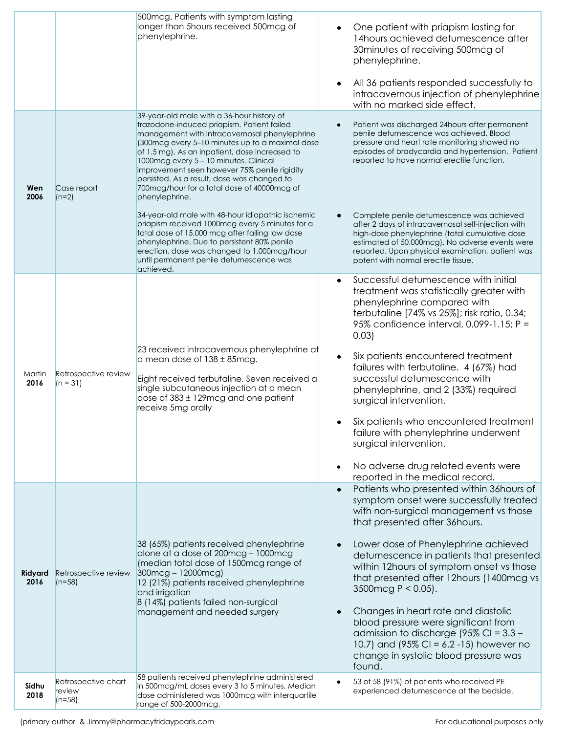| Wen             | Case report                               | 500mcg. Patients with symptom lasting<br>longer than 5hours received 500mcg of<br>phenylephrine.<br>39-year-old male with a 36-hour history of<br>trazodone-induced priapism. Patient failed<br>management with intracavernosal phenylephrine<br>(300 mcg every 5-10 minutes up to a maximal dose<br>of 1.5 mg). As an inpatient, dose increased to<br>1000mcg every 5 - 10 minutes. Clinical<br>improvement seen however 75% penile rigidity<br>persisted. As a result, dose was changed to<br>700mcg/hour for a total dose of 40000mcg of | One patient with priapism lasting for<br>14 hours achieved detumescence after<br>30 minutes of receiving 500 mcg of<br>phenylephrine.<br>All 36 patients responded successfully to<br>intracavernous injection of phenylephrine<br>with no marked side effect.<br>Patient was discharged 24hours after permanent<br>penile detumescence was achieved. Blood<br>pressure and heart rate monitoring showed no<br>episodes of bradycardia and hypertension. Patient<br>reported to have normal erectile function.                                                                                |
|-----------------|-------------------------------------------|---------------------------------------------------------------------------------------------------------------------------------------------------------------------------------------------------------------------------------------------------------------------------------------------------------------------------------------------------------------------------------------------------------------------------------------------------------------------------------------------------------------------------------------------|-----------------------------------------------------------------------------------------------------------------------------------------------------------------------------------------------------------------------------------------------------------------------------------------------------------------------------------------------------------------------------------------------------------------------------------------------------------------------------------------------------------------------------------------------------------------------------------------------|
| 2006            | $(n=2)$                                   | phenylephrine.<br>34-year-old male with 48-hour idiopathic ischemic<br>priapism received 1000mcg every 5 minutes for a<br>total dose of 15,000 mcg after failing low dose<br>phenylephrine. Due to persistent 80% penile<br>erection, dose was changed to 1,000mcg/hour<br>until permanent penile detumescence was<br>achieved.                                                                                                                                                                                                             | Complete penile detumescence was achieved<br>after 2 days of intracavernosal self-injection with<br>high-dose phenylephrine (total cumulative dose<br>estimated of 50,000mcg). No adverse events were<br>reported. Upon physical examination, patient was<br>potent with normal erectile tissue.                                                                                                                                                                                                                                                                                              |
| Martin<br>2016  | Retrospective review<br>$(n = 31)$        | 23 received intracavernous phenylephrine at<br>a mean dose of 138 ± 85mcg.<br>Eight received terbutaline. Seven received a<br>single subcutaneous injection at a mean<br>dose of 383 ± 129mcg and one patient<br>receive 5mg orally                                                                                                                                                                                                                                                                                                         | Successful detumescence with initial<br>treatment was statistically greater with<br>phenylephrine compared with<br>terbutaline [74% vs 25%]; risk ratio, 0.34;<br>95% confidence interval, 0.099-1.15; P =<br>0.03)<br>Six patients encountered treatment<br>failures with terbutaline. 4 (67%) had<br>successful detumescence with<br>phenylephrine, and 2 (33%) required<br>surgical intervention.<br>Six patients who encountered treatment<br>failure with phenylephrine underwent<br>surgical intervention.<br>No adverse drug related events were<br>reported in the medical record.    |
| Ridyard<br>2016 | Retrospective review<br>$(n=58)$          | 38 (65%) patients received phenylephrine<br>alone at a dose of 200mcg - 1000mcg<br>(median total dose of 1500mcg range of<br>300mcg-12000mcg)<br>12 (21%) patients received phenylephrine<br>and irrigation<br>8 (14%) patients failed non-surgical<br>management and needed surgery                                                                                                                                                                                                                                                        | Patients who presented within 36 hours of<br>symptom onset were successfully treated<br>with non-surgical management vs those<br>that presented after 36 hours.<br>Lower dose of Phenylephrine achieved<br>detumescence in patients that presented<br>within 12hours of symptom onset vs those<br>that presented after 12hours (1400mcg vs<br>3500 mcg $P < 0.05$ ).<br>Changes in heart rate and diastolic<br>blood pressure were significant from<br>admission to discharge (95% CI = $3.3 -$<br>10.7) and (95% CI = 6.2 -15) however no<br>change in systolic blood pressure was<br>found. |
| Sidhu<br>2018   | Retrospective chart<br>review<br>$(n=58)$ | 58 patients received phenylephrine administered<br>in 500mcg/mL doses every 3 to 5 minutes. Median<br>dose administered was 1000mcg with interquartile<br>range of 500-2000mcg.                                                                                                                                                                                                                                                                                                                                                             | 53 of 58 (91%) of patients who received PE<br>experienced detumescence at the bedside.                                                                                                                                                                                                                                                                                                                                                                                                                                                                                                        |